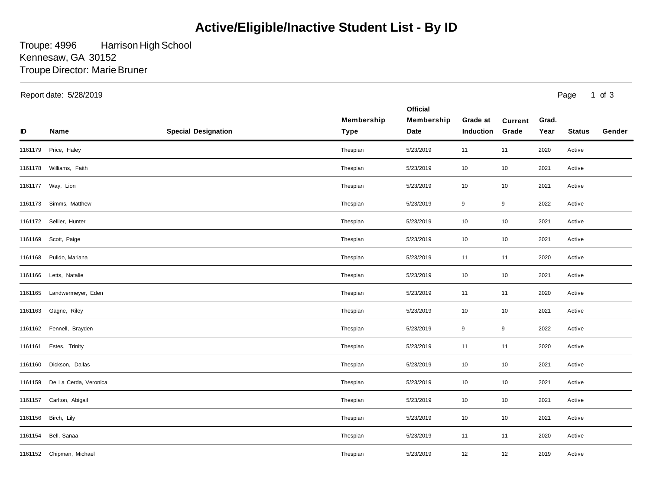## **Active/Eligible/Inactive Student List - By ID**

Troupe: 4996 Troupe Director: Marie Bruner Harrison High School Kennesaw, GA 30152

Report date: 5/28/2019 Page

1 of 3

| ID      | Name                       | <b>Special Designation</b> | Membership<br>Type | <b>Official</b><br>Membership<br>Date | Grade at<br><b>Induction</b> | <b>Current</b><br>Grade | Grad.<br>Year | <b>Status</b> | Gender |
|---------|----------------------------|----------------------------|--------------------|---------------------------------------|------------------------------|-------------------------|---------------|---------------|--------|
| 1161179 | Price, Haley               |                            | Thespian           | 5/23/2019                             | 11                           | 11                      | 2020          | Active        |        |
|         | 1161178 Williams, Faith    |                            | Thespian           | 5/23/2019                             | 10                           | 10                      | 2021          | Active        |        |
|         | 1161177 Way, Lion          |                            | Thespian           | 5/23/2019                             | 10                           | 10                      | 2021          | Active        |        |
|         | 1161173 Simms, Matthew     |                            | Thespian           | 5/23/2019                             | 9                            | 9                       | 2022          | Active        |        |
|         | 1161172 Sellier, Hunter    |                            | Thespian           | 5/23/2019                             | 10                           | 10                      | 2021          | Active        |        |
|         | 1161169 Scott, Paige       |                            | Thespian           | 5/23/2019                             | 10                           | 10                      | 2021          | Active        |        |
|         | 1161168 Pulido, Mariana    |                            | Thespian           | 5/23/2019                             | 11                           | 11                      | 2020          | Active        |        |
|         | 1161166 Letts, Natalie     |                            | Thespian           | 5/23/2019                             | 10                           | 10                      | 2021          | Active        |        |
|         | 1161165 Landwermeyer, Eden |                            | Thespian           | 5/23/2019                             | 11                           | 11                      | 2020          | Active        |        |
|         | 1161163 Gagne, Riley       |                            | Thespian           | 5/23/2019                             | 10                           | 10                      | 2021          | Active        |        |
|         | 1161162 Fennell, Brayden   |                            | Thespian           | 5/23/2019                             | 9                            | 9                       | 2022          | Active        |        |
| 1161161 | Estes, Trinity             |                            | Thespian           | 5/23/2019                             | 11                           | 11                      | 2020          | Active        |        |
| 1161160 | Dickson, Dallas            |                            | Thespian           | 5/23/2019                             | 10                           | 10                      | 2021          | Active        |        |
| 1161159 | De La Cerda, Veronica      |                            | Thespian           | 5/23/2019                             | 10                           | 10                      | 2021          | Active        |        |
|         | 1161157 Carlton, Abigail   |                            | Thespian           | 5/23/2019                             | 10                           | 10                      | 2021          | Active        |        |
| 1161156 | Birch, Lily                |                            | Thespian           | 5/23/2019                             | 10                           | 10                      | 2021          | Active        |        |
| 1161154 | Bell, Sanaa                |                            | Thespian           | 5/23/2019                             | 11                           | 11                      | 2020          | Active        |        |
|         | 1161152 Chipman, Michael   |                            | Thespian           | 5/23/2019                             | 12                           | 12                      | 2019          | Active        |        |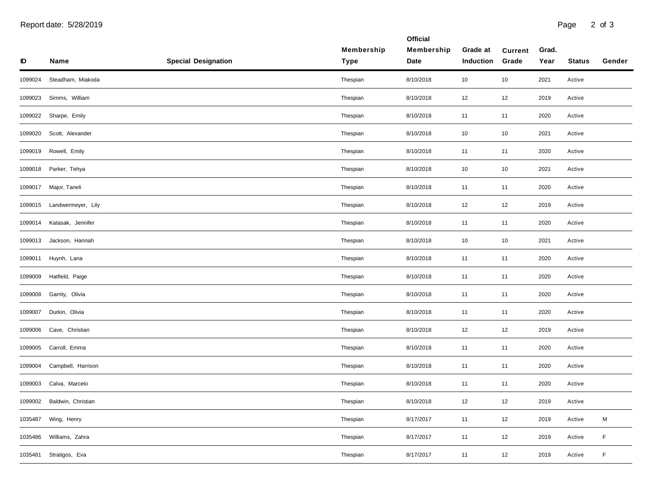| ID      | Name               | <b>Special Designation</b> | Membership<br><b>Type</b> | <b>Official</b><br>Membership<br>Date | Grade at<br><b>Induction</b> | <b>Current</b><br>Grade | Grad.<br>Year | <b>Status</b> | Gender |
|---------|--------------------|----------------------------|---------------------------|---------------------------------------|------------------------------|-------------------------|---------------|---------------|--------|
| 1099024 | Steadham, Miakoda  |                            | Thespian                  | 8/10/2018                             | 10                           | 10                      | 2021          | Active        |        |
| 1099023 | Simms, William     |                            | Thespian                  | 8/10/2018                             | 12                           | 12                      | 2019          | Active        |        |
| 1099022 | Sharpe, Emily      |                            | Thespian                  | 8/10/2018                             | 11                           | 11                      | 2020          | Active        |        |
| 1099020 | Scott, Alexander   |                            | Thespian                  | 8/10/2018                             | 10                           | 10                      | 2021          | Active        |        |
| 1099019 | Rowell, Emily      |                            | Thespian                  | 8/10/2018                             | 11                           | 11                      | 2020          | Active        |        |
| 1099018 | Parker, Tehya      |                            | Thespian                  | 8/10/2018                             | 10                           | 10                      | 2021          | Active        |        |
| 1099017 | Major, Taneli      |                            | Thespian                  | 8/10/2018                             | 11                           | 11                      | 2020          | Active        |        |
| 1099015 | Landwermeyer, Lily |                            | Thespian                  | 8/10/2018                             | 12                           | 12                      | 2019          | Active        |        |
| 1099014 | Katasak, Jennifer  |                            | Thespian                  | 8/10/2018                             | 11                           | 11                      | 2020          | Active        |        |
| 1099013 | Jackson, Hannah    |                            | Thespian                  | 8/10/2018                             | 10                           | 10                      | 2021          | Active        |        |
| 1099011 | Huynh, Lana        |                            | Thespian                  | 8/10/2018                             | 11                           | 11                      | 2020          | Active        |        |
| 1099009 | Hatfield, Paige    |                            | Thespian                  | 8/10/2018                             | 11                           | 11                      | 2020          | Active        |        |
| 1099008 | Garrity, Olivia    |                            | Thespian                  | 8/10/2018                             | 11                           | 11                      | 2020          | Active        |        |
| 1099007 | Durkin, Olivia     |                            | Thespian                  | 8/10/2018                             | 11                           | 11                      | 2020          | Active        |        |
| 1099006 | Cave, Christian    |                            | Thespian                  | 8/10/2018                             | 12                           | 12                      | 2019          | Active        |        |
| 1099005 | Carroll, Emma      |                            | Thespian                  | 8/10/2018                             | 11                           | 11                      | 2020          | Active        |        |
| 1099004 | Campbell, Harrison |                            | Thespian                  | 8/10/2018                             | 11                           | 11                      | 2020          | Active        |        |
| 1099003 | Calva, Marcelo     |                            | Thespian                  | 8/10/2018                             | 11                           | 11                      | 2020          | Active        |        |
| 1099002 | Baldwin, Christian |                            | Thespian                  | 8/10/2018                             | 12                           | 12                      | 2019          | Active        |        |
| 1035487 | Wing, Henry        |                            | Thespian                  | 8/17/2017                             | 11                           | 12                      | 2019          | Active        | M      |
| 1035486 | Williams, Zahra    |                            | Thespian                  | 8/17/2017                             | 11                           | 12                      | 2019          | Active        | F      |
| 1035481 | Stratigos, Eva     |                            | Thespian                  | 8/17/2017                             | 11                           | 12                      | 2019          | Active        | F      |